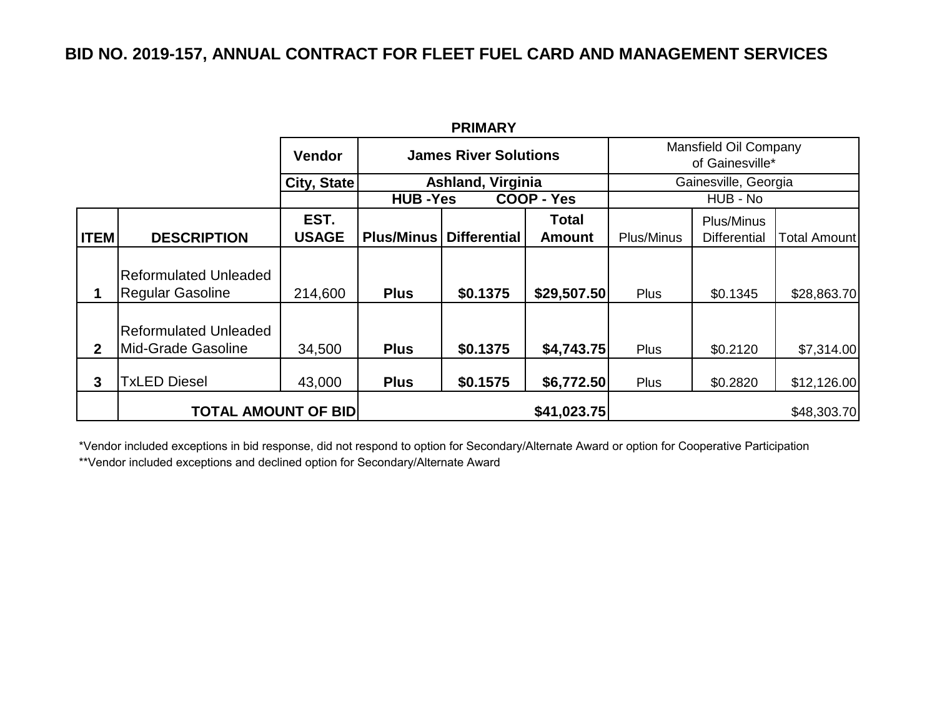## **BID NO. 2019-157, ANNUAL CONTRACT FOR FLEET FUEL CARD AND MANAGEMENT SERVICES**

| <b>PRIMARY</b> |                                                         |                      |                              |                     |                        |                                          |                                   |              |  |  |  |
|----------------|---------------------------------------------------------|----------------------|------------------------------|---------------------|------------------------|------------------------------------------|-----------------------------------|--------------|--|--|--|
|                |                                                         | <b>Vendor</b>        | <b>James River Solutions</b> |                     |                        | Mansfield Oil Company<br>of Gainesville* |                                   |              |  |  |  |
|                |                                                         | City, State          | <b>Ashland, Virginia</b>     |                     |                        | Gainesville, Georgia                     |                                   |              |  |  |  |
|                |                                                         |                      | <b>HUB-Yes</b>               |                     | COOP - Yes             | HUB - No                                 |                                   |              |  |  |  |
| <b>ITEM</b>    | <b>DESCRIPTION</b>                                      | EST.<br><b>USAGE</b> | <b>Plus/Minus</b>            | <b>Differential</b> | Total<br><b>Amount</b> | Plus/Minus                               | Plus/Minus<br><b>Differential</b> | Total Amount |  |  |  |
| 1              | <b>Reformulated Unleaded</b><br><b>Regular Gasoline</b> | 214,600              | <b>Plus</b>                  | \$0.1375            | \$29,507.50            | <b>Plus</b>                              | \$0.1345                          | \$28,863.70  |  |  |  |
| $\mathbf{2}$   | Reformulated Unleaded<br>Mid-Grade Gasoline             | 34,500               | <b>Plus</b>                  | \$0.1375            | \$4,743.75             | Plus                                     | \$0.2120                          | \$7,314.00   |  |  |  |
| 3              | <b>TxLED Diesel</b>                                     | 43,000               | <b>Plus</b>                  | \$0.1575            | \$6,772.50             | Plus                                     | \$0.2820                          | \$12,126.00  |  |  |  |
|                | <b>TOTAL AMOUNT OF BID</b>                              |                      |                              |                     | \$41,023.75            |                                          |                                   | \$48,303.70  |  |  |  |

\*Vendor included exceptions in bid response, did not respond to option for Secondary/Alternate Award or option for Cooperative Participation \*\*Vendor included exceptions and declined option for Secondary/Alternate Award